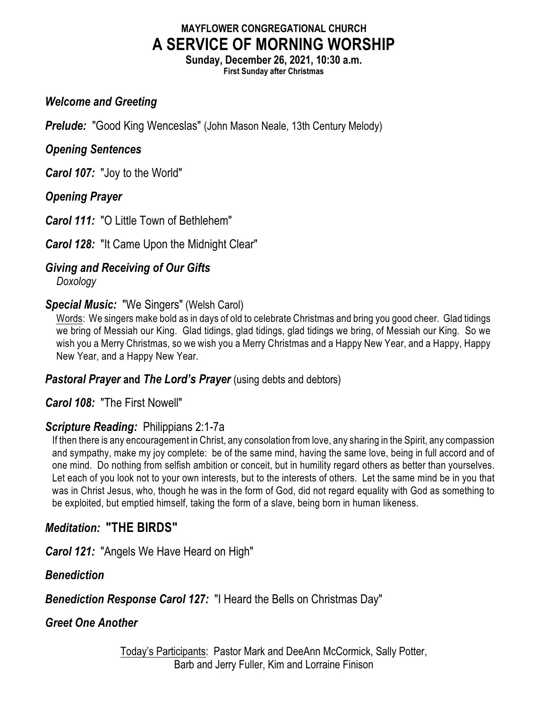# **MAYFLOWER CONGREGATIONAL CHURCH A SERVICE OF MORNING WORSHIP**

**Sunday, December 26, 2021, 10:30 a.m. First Sunday after Christmas**

### *Welcome and Greeting*

**Prelude:** "Good King Wenceslas" (John Mason Neale, 13th Century Melody)

### *Opening Sentences*

*Carol 107:* "Joy to the World"

*Opening Prayer*

*Carol 111:* "O Little Town of Bethlehem"

*Carol 128:* "It Came Upon the Midnight Clear"

# *Giving and Receiving of Our Gifts*

*Doxology*

## *Special Music:* "We Singers" (Welsh Carol)

Words: We singers make bold as in days of old to celebrate Christmas and bring you good cheer. Glad tidings we bring of Messiah our King. Glad tidings, glad tidings, glad tidings we bring, of Messiah our King. So we wish you a Merry Christmas, so we wish you a Merry Christmas and a Happy New Year, and a Happy, Happy New Year, and a Happy New Year.

# *Pastoral Prayer* and *The Lord's Prayer* (using debts and debtors)

*Carol 108:* "The First Nowell"

# *Scripture Reading:* Philippians 2:1-7a

If then there is any encouragement in Christ, any consolation from love, any sharing in the Spirit, any compassion and sympathy, make my joy complete: be of the same mind, having the same love, being in full accord and of one mind. Do nothing from selfish ambition or conceit, but in humility regard others as better than yourselves. Let each of you look not to your own interests, but to the interests of others. Let the same mind be in you that was in Christ Jesus, who, though he was in the form of God, did not regard equality with God as something to be exploited, but emptied himself, taking the form of a slave, being born in human likeness.

# *Meditation:* **"THE BIRDS"**

*Carol 121:* "Angels We Have Heard on High"

# *Benediction*

*Benediction Response Carol 127:* "I Heard the Bells on Christmas Day"

# *Greet One Another*

Today's Participants: Pastor Mark and DeeAnn McCormick, Sally Potter, Barb and Jerry Fuller, Kim and Lorraine Finison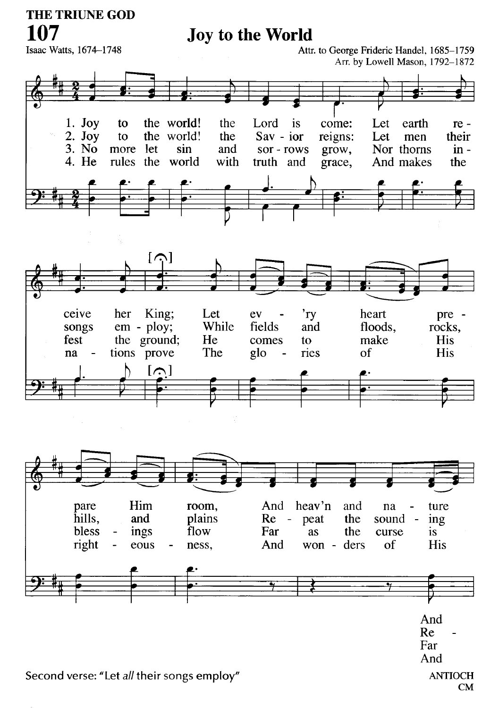# Joy to the World

Isaac Watts, 1674-1748

Attr. to George Frideric Handel, 1685-1759 Arr. by Lowell Mason, 1792-1872







Second verse: "Let all their songs employ"

**ANTIOCH CM**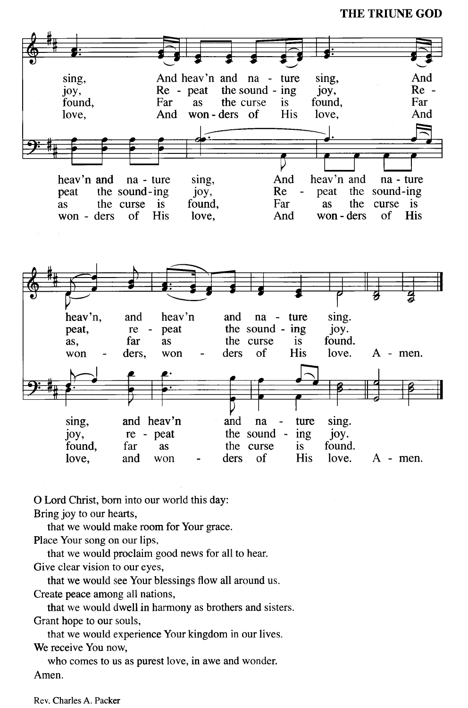

O Lord Christ, born into our world this day: Bring joy to our hearts,

that we would make room for Your grace.

Place Your song on our lips,

that we would proclaim good news for all to hear.

Give clear vision to our eyes,

that we would see Your blessings flow all around us.

Create peace among all nations,

that we would dwell in harmony as brothers and sisters. Grant hope to our souls,

that we would experience Your kingdom in our lives.

We receive You now,

who comes to us as purest love, in a we and wonder. Amen.

Rev. Charles A. Packer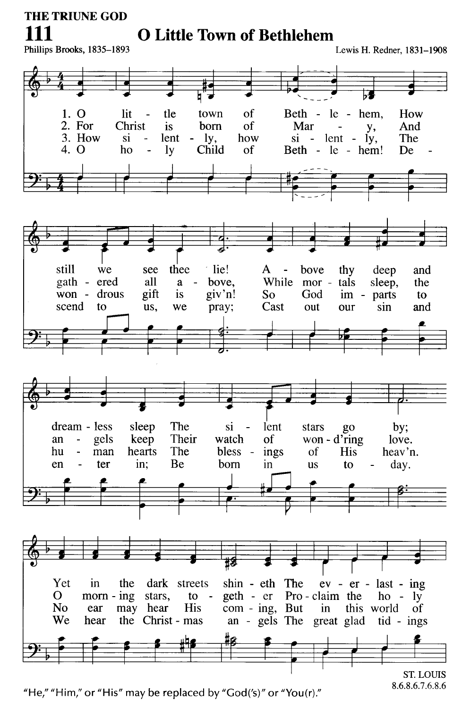111

# **O Little Town of Bethlehem**

Phillips Brooks, 1835-1893

Lewis H. Redner, 1831-1908

8.6.8.6.7.6.8.6



"He," "Him," or "His" may be replaced by "God('s)" or "You(r)."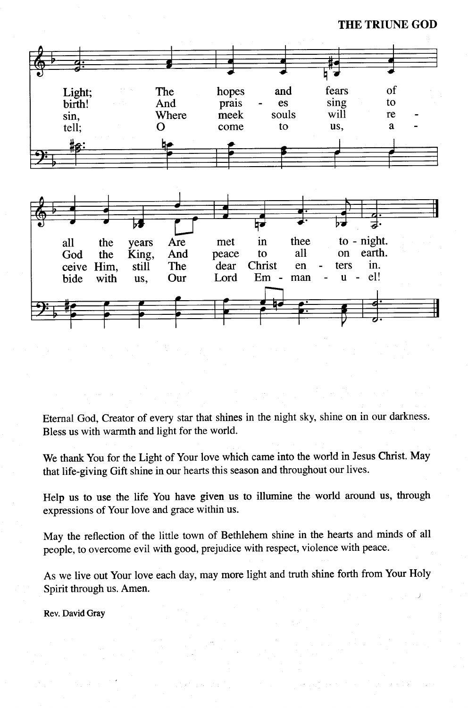

Eternal God, Creator of every star that shines in the night sky, shine on in our darkness. Bless us with warmth and light for the world.

We thank You for the Light of Your love which came into the world in Jesus Christ. May that life-giving Gift shine in our hearts this season and throughout our lives.

Help us to use the life You have given us to illumine the world around us, through expressions of Your love and grace within us.

May the reflection of the little town of Bethlehem shine in the hearts and minds of all people, to overcome evil with good, prejudice with respect, violence with peace.

As we live out Your love each day, may more light and truth shine forth from Your Holy Spirit through us. Amen.

Rev. David Gray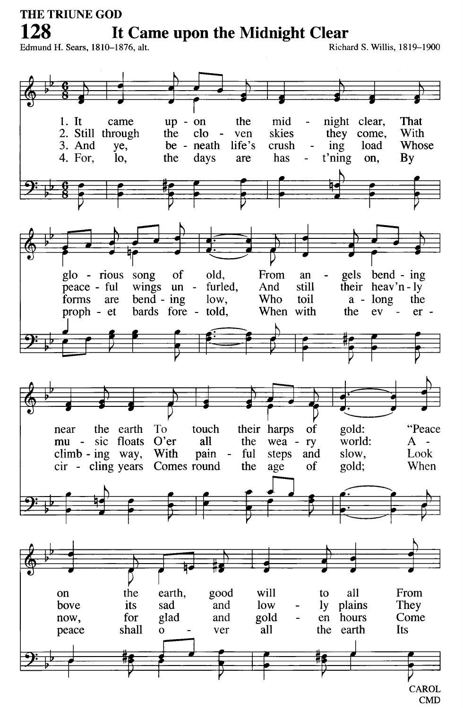128

It Came upon the Midnight Clear

Edmund H. Sears, 1810-1876, alt.

Richard S. Willis, 1819-1900

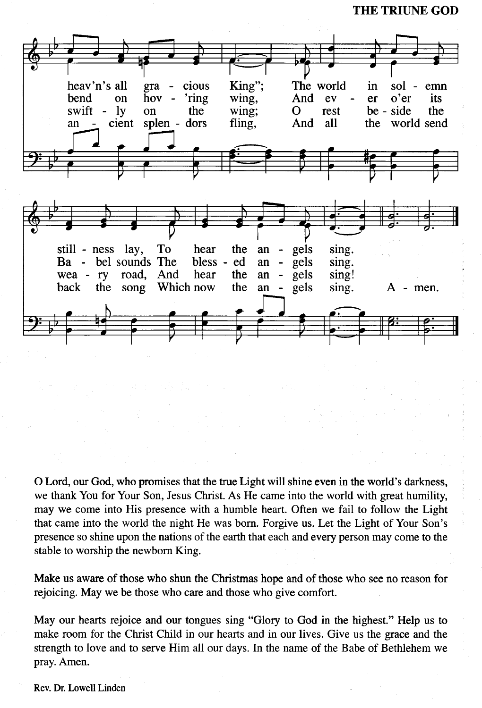

O Lord, our God, who promises that the true Light will shine even in the world's darkness, we thank You for Your Son, Jesus Christ. As He came into the world with great humility, may we come into His presence with a humble heart. Often we fail to follow the Light that came into the world the night He was born. Forgive us. Let the Light of Your Son's presence so shine upon the nations of the earth that each and every person may come to the stable to worship the newborn King.

Make us aware of those who shun the Christmas hope and of those who see no reason for rejoicing. May we be those who care and those who give comfort.

May our hearts rejoice and our tongues sing "Glory to God in the highest." Help us to make room for the Christ Child in our hearts and in our lives. Give us the grace and the strength to love and to serve Him all our days. In the name of the Babe of Bethlehem we pray. Amen.

Rev. Dr. Lowell Linden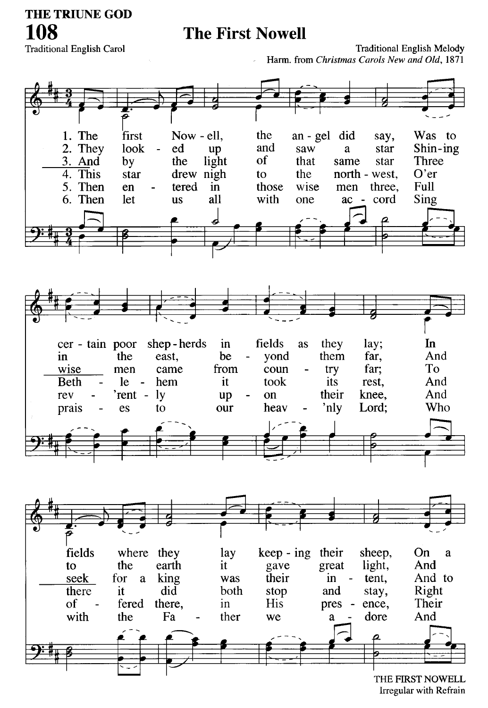# **The First Nowell**

**Traditional English Carol** 

**Traditional English Melody** Harm. from Christmas Carols New and Old, 1871



Irregular with Refrain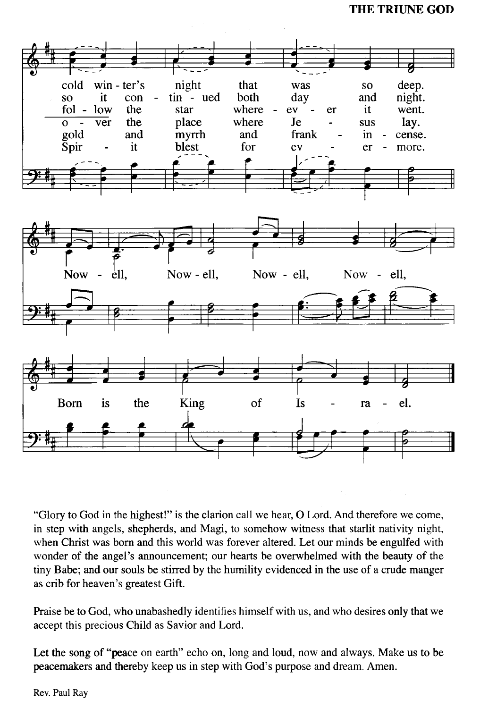

"Glory to God in the highest!" is the clarion call we hear, O Lord. And therefore we come, in step with angels, shepherds, and Magi, to somehow witness that starlit nativity night, when Christ was born and this world was forever altered. Let our minds be engulfed with wonder of the angel's announcement; our hearts be overwhelmed with the beauty of the tiny Babe; and our souls be stirred by the humility evidenced in the use of a crude manger as crib for heaven's greatest Gift.

Praise be to God, who unabashedly identifies himself with us, and who desires only that we accept this precious Child as Savior and Lord.

Let the song of "peace on earth" echo on, long and loud, now and always. Make us to be peacemakers and thereby keep us in step with God's purpose and dream. Amen.

Rev. Paul Ray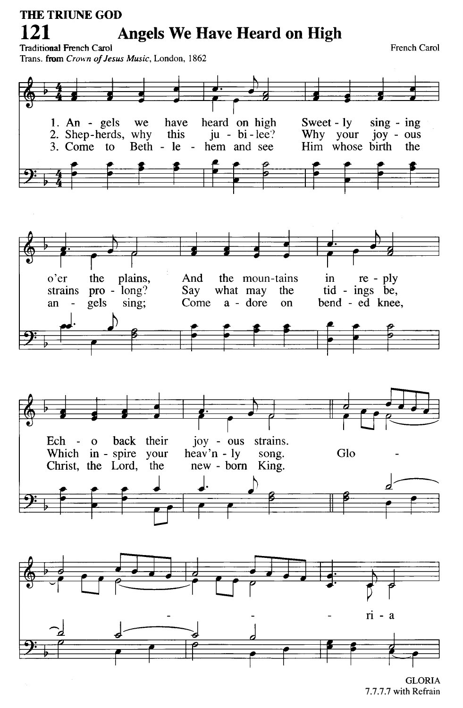#### **THE TRIUNE GOD** 121 **Angels We Have Heard on High Traditional French Carol**

French Carol

Trans. from Crown of Jesus Music, London, 1862



7.7.7.7 with Refrain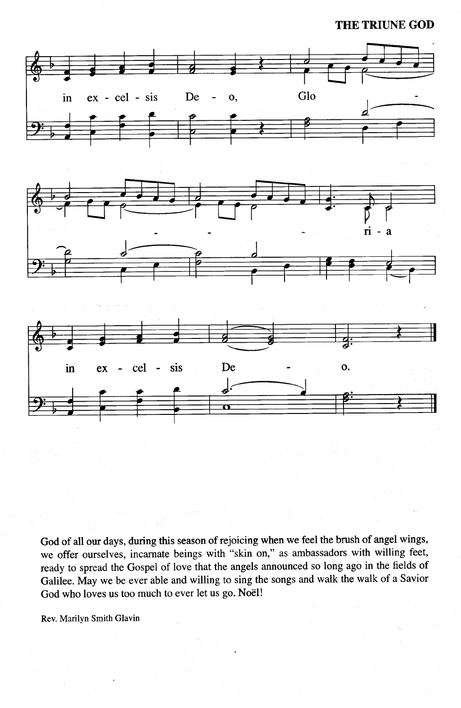





God of all our days, during this season of rejoicing when we feel the brush of angel wings, we offer ourselves, incarnate beings with "skin on," as ambassadors with willing feet, ready to spread the Gospel of love that the angels announced so long ago in the fields of Galilee. May we be ever able and willing to sing the songs and walk the walk of a Savior God who loves us too much to ever let us go. Noël!

Rev. Marilyn Smith Glavin